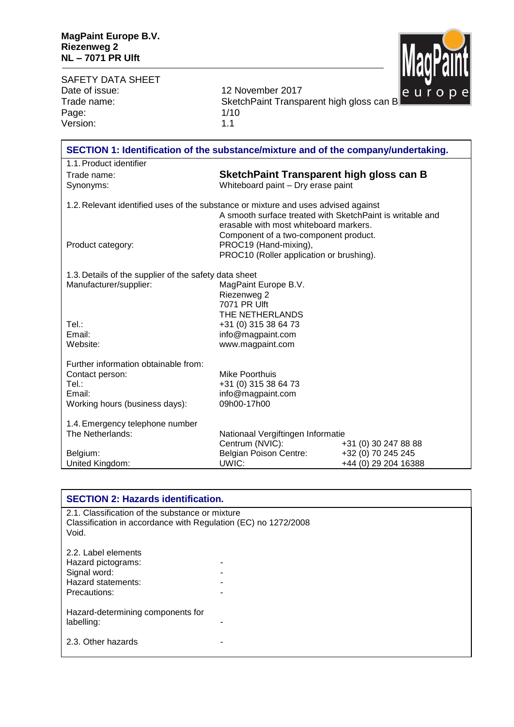

| <b>SAFETY DATA SHEET</b><br>Date of issue:<br>Trade name:                                                      | 12 November 2017<br>SketchPaint Transparent high gloss can B                                                                                 |                                                                    | <u>inaan miir</u><br>europe |
|----------------------------------------------------------------------------------------------------------------|----------------------------------------------------------------------------------------------------------------------------------------------|--------------------------------------------------------------------|-----------------------------|
| Page:                                                                                                          | 1/10                                                                                                                                         |                                                                    |                             |
| Version:                                                                                                       | 1.1                                                                                                                                          |                                                                    |                             |
|                                                                                                                |                                                                                                                                              |                                                                    |                             |
| SECTION 1: Identification of the substance/mixture and of the company/undertaking.                             |                                                                                                                                              |                                                                    |                             |
| 1.1. Product identifier                                                                                        |                                                                                                                                              |                                                                    |                             |
| Trade name:                                                                                                    | <b>SketchPaint Transparent high gloss can B</b>                                                                                              |                                                                    |                             |
| Synonyms:                                                                                                      | Whiteboard paint - Dry erase paint                                                                                                           |                                                                    |                             |
| 1.2. Relevant identified uses of the substance or mixture and uses advised against                             | A smooth surface treated with SketchPaint is writable and<br>erasable with most whiteboard markers.<br>Component of a two-component product. |                                                                    |                             |
| Product category:                                                                                              | PROC19 (Hand-mixing),<br>PROC10 (Roller application or brushing).                                                                            |                                                                    |                             |
| 1.3. Details of the supplier of the safety data sheet<br>Manufacturer/supplier:<br>Tel.:<br>Email:<br>Website: | MagPaint Europe B.V.<br>Riezenweg 2<br>7071 PR Ulft<br>THE NETHERLANDS<br>+31 (0) 315 38 64 73<br>info@magpaint.com<br>www.magpaint.com      |                                                                    |                             |
| Further information obtainable from:<br>Contact person:<br>Tel.:<br>Email:<br>Working hours (business days):   | Mike Poorthuis<br>+31 (0) 315 38 64 73<br>info@magpaint.com<br>09h00-17h00                                                                   |                                                                    |                             |
| 1.4. Emergency telephone number<br>The Netherlands:<br>Belgium:<br>United Kingdom:                             | Nationaal Vergiftingen Informatie<br>Centrum (NVIC):<br><b>Belgian Poison Centre:</b><br>UWIC:                                               | +31 (0) 30 247 88 88<br>+32 (0) 70 245 245<br>+44 (0) 29 204 16388 |                             |
|                                                                                                                |                                                                                                                                              |                                                                    |                             |

| <b>SECTION 2: Hazards identification.</b>                                                                                  |  |
|----------------------------------------------------------------------------------------------------------------------------|--|
| 2.1. Classification of the substance or mixture<br>Classification in accordance with Regulation (EC) no 1272/2008<br>Void. |  |
| 2.2. Label elements<br>Hazard pictograms:<br>Signal word:<br>Hazard statements:<br>Precautions:                            |  |
| Hazard-determining components for<br>labelling:                                                                            |  |
| 2.3. Other hazards                                                                                                         |  |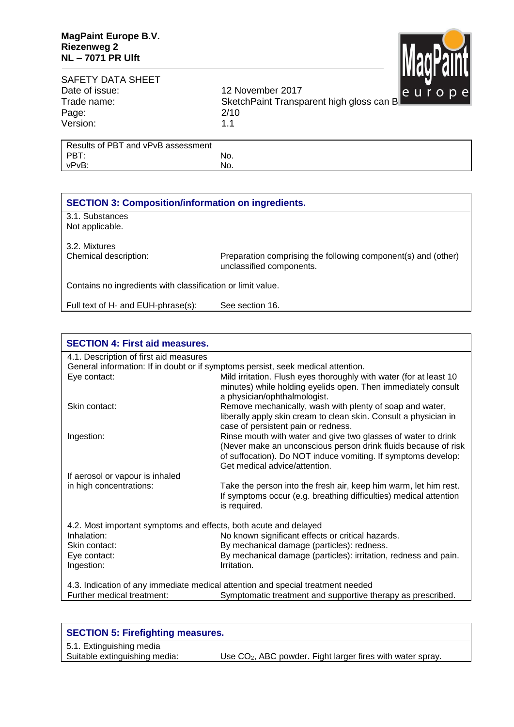

## SAFETY DATA SHEET Date of issue: 12 November 2017 Page: 2/10 Version: 1.1

Trade name: SketchPaint Transparent high gloss can B

| Results of PBT and vPvB assessment |     |
|------------------------------------|-----|
| PBT:                               | No. |
| vPvB:                              | No. |
|                                    |     |

## **SECTION 3: Composition/information on ingredients.**

3.1. Substances Not applicable.

3.2. Mixtures

Chemical description: Preparation comprising the following component(s) and (other) unclassified components.

Contains no ingredients with classification or limit value.

Full text of H- and EUH-phrase(s): See section 16.

## **SECTION 4: First aid measures.** 4.1. Description of first aid measures General information: If in doubt or if symptoms persist, seek medical attention. Eye contact: Mild irritation. Flush eyes thoroughly with water (for at least 10 minutes) while holding eyelids open. Then immediately consult a physician/ophthalmologist. Skin contact: **Remove mechanically, wash with plenty of soap and water,** Skin contact: liberally apply skin cream to clean skin. Consult a physician in case of persistent pain or redness. Ingestion: Rinse mouth with water and give two glasses of water to drink (Never make an unconscious person drink fluids because of risk of suffocation). Do NOT induce vomiting. If symptoms develop: Get medical advice/attention. If aerosol or vapour is inhaled<br>in high concentrations: Take the person into the fresh air, keep him warm, let him rest. If symptoms occur (e.g. breathing difficulties) medical attention is required. 4.2. Most important symptoms and effects, both acute and delayed Inhalation: No known significant effects or critical hazards. Skin contact: By mechanical damage (particles): redness. Eye contact: By mechanical damage (particles): irritation, redness and pain. Ingestion: **Intervention** Irritation. 4.3. Indication of any immediate medical attention and special treatment needed Further medical treatment: Symptomatic treatment and supportive therapy as prescribed.

| <b>SECTION 5: Firefighting measures.</b> |                                                                        |  |
|------------------------------------------|------------------------------------------------------------------------|--|
| 5.1. Extinguishing media                 |                                                                        |  |
| Suitable extinguishing media:            | Use CO <sub>2</sub> , ABC powder. Fight larger fires with water spray. |  |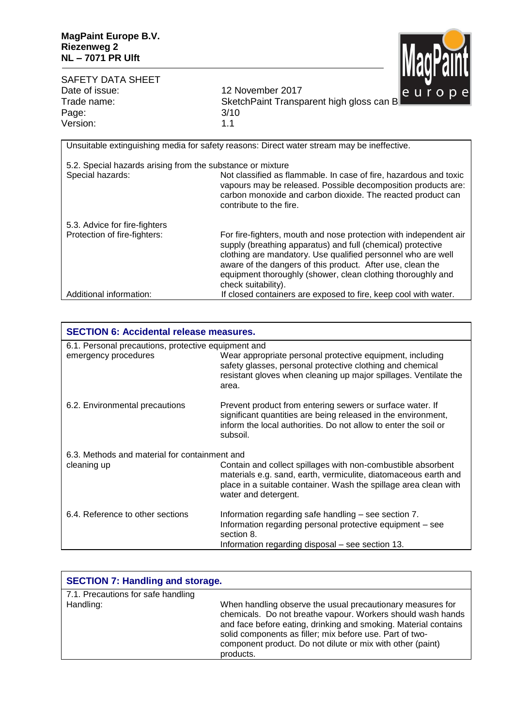

| <b>SAFETY DATA SHEET</b><br>Date of issue:<br>Trade name:  | <b>TRANT NITE</b><br>12 November 2017<br>europe<br>SketchPaint Transparent high gloss can B                                                                                                                                                                                                                                                          |
|------------------------------------------------------------|------------------------------------------------------------------------------------------------------------------------------------------------------------------------------------------------------------------------------------------------------------------------------------------------------------------------------------------------------|
| Page:                                                      | 3/10                                                                                                                                                                                                                                                                                                                                                 |
| Version:                                                   | 1.1                                                                                                                                                                                                                                                                                                                                                  |
|                                                            | Unsuitable extinguishing media for safety reasons: Direct water stream may be ineffective.                                                                                                                                                                                                                                                           |
| 5.2. Special hazards arising from the substance or mixture |                                                                                                                                                                                                                                                                                                                                                      |
| Special hazards:                                           | Not classified as flammable. In case of fire, hazardous and toxic<br>vapours may be released. Possible decomposition products are:<br>carbon monoxide and carbon dioxide. The reacted product can<br>contribute to the fire.                                                                                                                         |
| 5.3. Advice for fire-fighters                              |                                                                                                                                                                                                                                                                                                                                                      |
| Protection of fire-fighters:                               | For fire-fighters, mouth and nose protection with independent air<br>supply (breathing apparatus) and full (chemical) protective<br>clothing are mandatory. Use qualified personnel who are well<br>aware of the dangers of this product. After use, clean the<br>equipment thoroughly (shower, clean clothing thoroughly and<br>check suitability). |
| Additional information:                                    | If closed containers are exposed to fire, keep cool with water.                                                                                                                                                                                                                                                                                      |

| <b>SECTION 6: Accidental release measures.</b>      |                                                                                                                                                                                                                             |  |
|-----------------------------------------------------|-----------------------------------------------------------------------------------------------------------------------------------------------------------------------------------------------------------------------------|--|
| 6.1. Personal precautions, protective equipment and |                                                                                                                                                                                                                             |  |
| emergency procedures                                | Wear appropriate personal protective equipment, including<br>safety glasses, personal protective clothing and chemical<br>resistant gloves when cleaning up major spillages. Ventilate the<br>area.                         |  |
| 6.2. Environmental precautions                      | Prevent product from entering sewers or surface water. If<br>significant quantities are being released in the environment,<br>inform the local authorities. Do not allow to enter the soil or<br>subsoil.                   |  |
| 6.3. Methods and material for containment and       |                                                                                                                                                                                                                             |  |
| cleaning up                                         | Contain and collect spillages with non-combustible absorbent<br>materials e.g. sand, earth, vermiculite, diatomaceous earth and<br>place in a suitable container. Wash the spillage area clean with<br>water and detergent. |  |
| 6.4. Reference to other sections                    | Information regarding safe handling – see section 7.<br>Information regarding personal protective equipment - see<br>section 8.<br>Information regarding disposal – see section 13.                                         |  |

| <b>SECTION 7: Handling and storage.</b> |                                                                                                                                                                                                                                                                                                                                     |  |
|-----------------------------------------|-------------------------------------------------------------------------------------------------------------------------------------------------------------------------------------------------------------------------------------------------------------------------------------------------------------------------------------|--|
| 7.1. Precautions for safe handling      |                                                                                                                                                                                                                                                                                                                                     |  |
| Handling:                               | When handling observe the usual precautionary measures for<br>chemicals. Do not breathe vapour. Workers should wash hands<br>and face before eating, drinking and smoking. Material contains<br>solid components as filler; mix before use. Part of two-<br>component product. Do not dilute or mix with other (paint)<br>products. |  |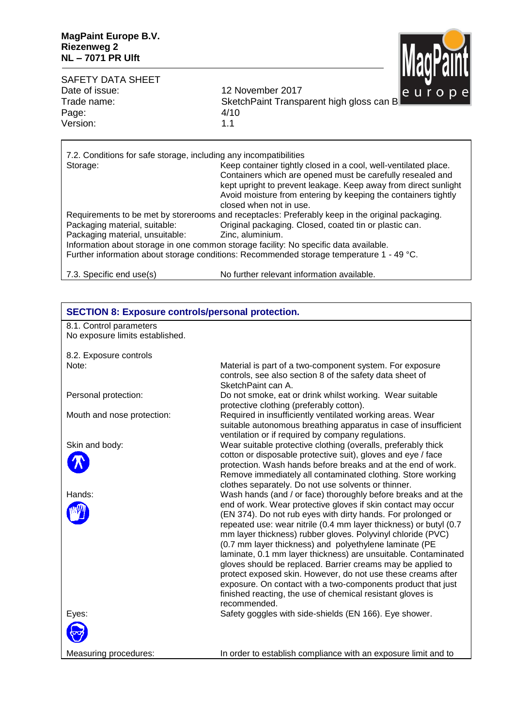

SAFETY DATA SHEET<br>Date of issue: Date of issue: 12 November 2017<br>Trade name: 13 SketchPaint Transp SketchPaint Transparent high gloss can B<br>4/10 Page: 4/10<br>Version: 4/10 Version:

| 7.2. Conditions for safe storage, including any incompatibilities<br>Storage:                                                                                                                                                                                                                                                                                                                                                           | Keep container tightly closed in a cool, well-ventilated place.<br>Containers which are opened must be carefully resealed and<br>kept upright to prevent leakage. Keep away from direct sunlight<br>Avoid moisture from entering by keeping the containers tightly<br>closed when not in use. |  |
|-----------------------------------------------------------------------------------------------------------------------------------------------------------------------------------------------------------------------------------------------------------------------------------------------------------------------------------------------------------------------------------------------------------------------------------------|-----------------------------------------------------------------------------------------------------------------------------------------------------------------------------------------------------------------------------------------------------------------------------------------------|--|
| Requirements to be met by storerooms and receptacles: Preferably keep in the original packaging.<br>Original packaging. Closed, coated tin or plastic can.<br>Packaging material, suitable:<br>Packaging material, unsuitable:<br>Zinc, aluminium.<br>Information about storage in one common storage facility: No specific data available.<br>Further information about storage conditions: Recommended storage temperature 1 - 49 °C. |                                                                                                                                                                                                                                                                                               |  |
| 7.3. Specific end use(s)                                                                                                                                                                                                                                                                                                                                                                                                                | No further relevant information available.                                                                                                                                                                                                                                                    |  |

| <b>SECTION 8: Exposure controls/personal protection.</b> |                                                                                                                                   |
|----------------------------------------------------------|-----------------------------------------------------------------------------------------------------------------------------------|
| 8.1. Control parameters                                  |                                                                                                                                   |
| No exposure limits established.                          |                                                                                                                                   |
| 8.2. Exposure controls                                   |                                                                                                                                   |
| Note:                                                    | Material is part of a two-component system. For exposure                                                                          |
|                                                          | controls, see also section 8 of the safety data sheet of                                                                          |
|                                                          | SketchPaint can A.                                                                                                                |
| Personal protection:                                     | Do not smoke, eat or drink whilst working. Wear suitable                                                                          |
| Mouth and nose protection:                               | protective clothing (preferably cotton).<br>Required in insufficiently ventilated working areas. Wear                             |
|                                                          | suitable autonomous breathing apparatus in case of insufficient                                                                   |
|                                                          | ventilation or if required by company regulations.                                                                                |
| Skin and body:                                           | Wear suitable protective clothing (overalls, preferably thick                                                                     |
|                                                          | cotton or disposable protective suit), gloves and eye / face                                                                      |
|                                                          | protection. Wash hands before breaks and at the end of work.<br>Remove immediately all contaminated clothing. Store working       |
|                                                          | clothes separately. Do not use solvents or thinner.                                                                               |
| Hands:                                                   | Wash hands (and / or face) thoroughly before breaks and at the                                                                    |
|                                                          | end of work. Wear protective gloves if skin contact may occur                                                                     |
|                                                          | (EN 374). Do not rub eyes with dirty hands. For prolonged or<br>repeated use: wear nitrile (0.4 mm layer thickness) or butyl (0.7 |
|                                                          | mm layer thickness) rubber gloves. Polyvinyl chloride (PVC)                                                                       |
|                                                          | (0.7 mm layer thickness) and polyethylene laminate (PE                                                                            |
|                                                          | laminate, 0.1 mm layer thickness) are unsuitable. Contaminated                                                                    |
|                                                          | gloves should be replaced. Barrier creams may be applied to                                                                       |
|                                                          | protect exposed skin. However, do not use these creams after<br>exposure. On contact with a two-components product that just      |
|                                                          | finished reacting, the use of chemical resistant gloves is                                                                        |
|                                                          | recommended.                                                                                                                      |
| Eyes:                                                    | Safety goggles with side-shields (EN 166). Eye shower.                                                                            |
|                                                          |                                                                                                                                   |
| Measuring procedures:                                    | In order to establish compliance with an exposure limit and to                                                                    |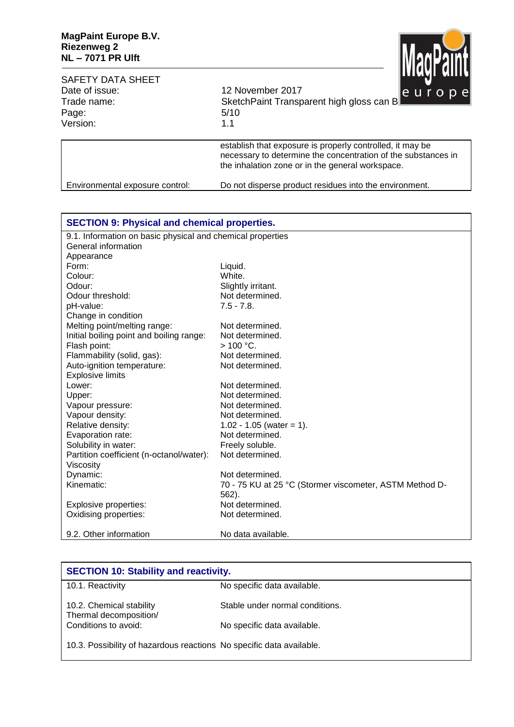

| <b>SAFETY DATA SHEET</b><br>Date of issue:<br>Trade name:<br>Page:<br>Version: | нилти анн<br>12 November 2017<br>le u r <del>o p e</del> l<br>SketchPaint Transparent high gloss can B<br>5/10<br>1.1                                                          |
|--------------------------------------------------------------------------------|--------------------------------------------------------------------------------------------------------------------------------------------------------------------------------|
|                                                                                | establish that exposure is properly controlled, it may be<br>necessary to determine the concentration of the substances in<br>the inhalation zone or in the general workspace. |
| Environmental exposure control:                                                | Do not disperse product residues into the environment.                                                                                                                         |

| <b>SECTION 9: Physical and chemical properties.</b>        |                                                         |  |
|------------------------------------------------------------|---------------------------------------------------------|--|
| 9.1. Information on basic physical and chemical properties |                                                         |  |
| General information                                        |                                                         |  |
| Appearance                                                 |                                                         |  |
| Form:                                                      | Liquid.                                                 |  |
| Colour:                                                    | White.                                                  |  |
| Odour:                                                     | Slightly irritant.                                      |  |
| Odour threshold:                                           | Not determined.                                         |  |
| pH-value:                                                  | $7.5 - 7.8$ .                                           |  |
| Change in condition                                        |                                                         |  |
| Melting point/melting range:                               | Not determined.                                         |  |
| Initial boiling point and boiling range:                   | Not determined.                                         |  |
| Flash point:                                               | $> 100 °C$ .                                            |  |
| Flammability (solid, gas):                                 | Not determined.                                         |  |
| Auto-ignition temperature:                                 | Not determined.                                         |  |
| <b>Explosive limits</b>                                    |                                                         |  |
| Lower:                                                     | Not determined.                                         |  |
| Upper:                                                     | Not determined.                                         |  |
| Vapour pressure:                                           | Not determined.                                         |  |
| Vapour density:                                            | Not determined.                                         |  |
| Relative density:                                          | $1.02 - 1.05$ (water = 1).                              |  |
| Evaporation rate:                                          | Not determined.                                         |  |
| Solubility in water:                                       | Freely soluble.                                         |  |
| Partition coefficient (n-octanol/water):                   | Not determined.                                         |  |
| Viscosity                                                  |                                                         |  |
| Dynamic:                                                   | Not determined.                                         |  |
| Kinematic:                                                 | 70 - 75 KU at 25 °C (Stormer viscometer, ASTM Method D- |  |
|                                                            | 562).                                                   |  |
| Explosive properties:                                      | Not determined.                                         |  |
| Oxidising properties:                                      | Not determined.                                         |  |
| 9.2. Other information                                     | No data available.                                      |  |

| <b>SECTION 10: Stability and reactivity.</b>                         |                                 |  |
|----------------------------------------------------------------------|---------------------------------|--|
| 10.1. Reactivity                                                     | No specific data available.     |  |
| 10.2. Chemical stability<br>Thermal decomposition/                   | Stable under normal conditions. |  |
| Conditions to avoid:                                                 | No specific data available.     |  |
| 10.3. Possibility of hazardous reactions No specific data available. |                                 |  |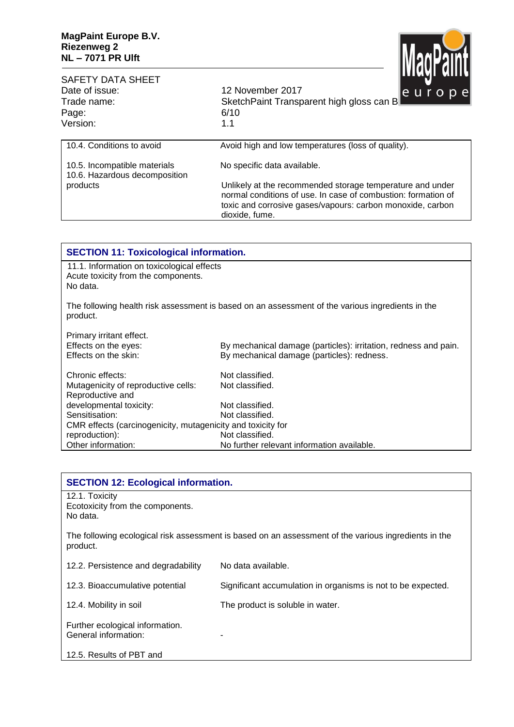

| <b>SAFETY DATA SHEET</b><br>Date of issue:<br>Trade name:<br>Page:<br>Version: | <b>TERMI NITE</b><br>12 November 2017<br>le urope<br>SketchPaint Transparent high gloss can B<br>6/10<br>1.1                                                                                               |
|--------------------------------------------------------------------------------|------------------------------------------------------------------------------------------------------------------------------------------------------------------------------------------------------------|
| 10.4. Conditions to avoid                                                      | Avoid high and low temperatures (loss of quality).                                                                                                                                                         |
| 10.5. Incompatible materials<br>10.6. Hazardous decomposition                  | No specific data available.                                                                                                                                                                                |
| products                                                                       | Unlikely at the recommended storage temperature and under<br>normal conditions of use. In case of combustion: formation of<br>toxic and corrosive gases/vapours: carbon monoxide, carbon<br>dioxide, fume. |

| <b>SECTION 11: Toxicological information.</b>                                                 |                                                                                                               |  |
|-----------------------------------------------------------------------------------------------|---------------------------------------------------------------------------------------------------------------|--|
| 11.1. Information on toxicological effects<br>Acute toxicity from the components.<br>No data. |                                                                                                               |  |
| product.                                                                                      | The following health risk assessment is based on an assessment of the various ingredients in the              |  |
| Primary irritant effect.<br>Effects on the eyes:<br>Effects on the skin:                      | By mechanical damage (particles): irritation, redness and pain.<br>By mechanical damage (particles): redness. |  |
| Chronic effects:                                                                              | Not classified.                                                                                               |  |
| Mutagenicity of reproductive cells:<br>Reproductive and                                       | Not classified.                                                                                               |  |
| developmental toxicity:                                                                       | Not classified.                                                                                               |  |
| Sensitisation:                                                                                | Not classified.                                                                                               |  |
| CMR effects (carcinogenicity, mutagenicity and toxicity for                                   |                                                                                                               |  |
| reproduction):                                                                                | Not classified.                                                                                               |  |
| Other information:                                                                            | No further relevant information available.                                                                    |  |

| <b>SECTION 12: Ecological information.</b>                     |                                                                                                      |
|----------------------------------------------------------------|------------------------------------------------------------------------------------------------------|
| 12.1. Toxicity<br>Ecotoxicity from the components.<br>No data. |                                                                                                      |
| product.                                                       | The following ecological risk assessment is based on an assessment of the various ingredients in the |
| 12.2. Persistence and degradability                            | No data available.                                                                                   |
| 12.3. Bioaccumulative potential                                | Significant accumulation in organisms is not to be expected.                                         |
| 12.4. Mobility in soil                                         | The product is soluble in water.                                                                     |
| Further ecological information.<br>General information:        |                                                                                                      |
| 12.5. Results of PBT and                                       |                                                                                                      |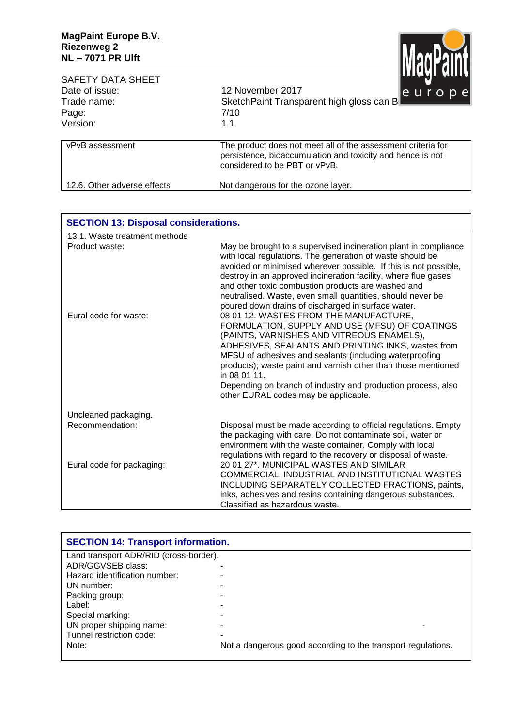

| SAFETY DATA SHEET           | Шичния                                                                                                                                                      |  |  |
|-----------------------------|-------------------------------------------------------------------------------------------------------------------------------------------------------------|--|--|
| Date of issue:              | 12 November 2017<br>le uropel                                                                                                                               |  |  |
| Trade name:                 | SketchPaint Transparent high gloss can B                                                                                                                    |  |  |
| Page:                       | 7/10                                                                                                                                                        |  |  |
| Version:                    | 1.1                                                                                                                                                         |  |  |
| vPvB assessment             | The product does not meet all of the assessment criteria for<br>persistence, bioaccumulation and toxicity and hence is not<br>considered to be PBT or vPvB. |  |  |
| 12.6. Other adverse effects | Not dangerous for the ozone layer.                                                                                                                          |  |  |

| <b>SECTION 13: Disposal considerations.</b> |                                                                                                                                                                                                                                                                                                                                                                                                                                                 |
|---------------------------------------------|-------------------------------------------------------------------------------------------------------------------------------------------------------------------------------------------------------------------------------------------------------------------------------------------------------------------------------------------------------------------------------------------------------------------------------------------------|
| 13.1. Waste treatment methods               |                                                                                                                                                                                                                                                                                                                                                                                                                                                 |
| Product waste:                              | May be brought to a supervised incineration plant in compliance<br>with local regulations. The generation of waste should be<br>avoided or minimised wherever possible. If this is not possible,<br>destroy in an approved incineration facility, where flue gases<br>and other toxic combustion products are washed and<br>neutralised. Waste, even small quantities, should never be<br>poured down drains of discharged in surface water.    |
| Eural code for waste:                       | 08 01 12. WASTES FROM THE MANUFACTURE,<br>FORMULATION, SUPPLY AND USE (MFSU) OF COATINGS<br>(PAINTS, VARNISHES AND VITREOUS ENAMELS),<br>ADHESIVES, SEALANTS AND PRINTING INKS, wastes from<br>MFSU of adhesives and sealants (including waterproofing<br>products); waste paint and varnish other than those mentioned<br>in 08 01 11.<br>Depending on branch of industry and production process, also<br>other EURAL codes may be applicable. |
| Uncleaned packaging.                        |                                                                                                                                                                                                                                                                                                                                                                                                                                                 |
| Recommendation:                             | Disposal must be made according to official regulations. Empty<br>the packaging with care. Do not contaminate soil, water or<br>environment with the waste container. Comply with local<br>regulations with regard to the recovery or disposal of waste.                                                                                                                                                                                        |
| Eural code for packaging:                   | 20 01 27*. MUNICIPAL WASTES AND SIMILAR<br>COMMERCIAL, INDUSTRIAL AND INSTITUTIONAL WASTES<br>INCLUDING SEPARATELY COLLECTED FRACTIONS, paints,<br>inks, adhesives and resins containing dangerous substances.<br>Classified as hazardous waste.                                                                                                                                                                                                |

| <b>SECTION 14: Transport information.</b> |                                                              |  |
|-------------------------------------------|--------------------------------------------------------------|--|
| Land transport ADR/RID (cross-border).    |                                                              |  |
| ADR/GGVSEB class:                         | -                                                            |  |
| Hazard identification number:             |                                                              |  |
| UN number:                                |                                                              |  |
| Packing group:                            |                                                              |  |
| Label:                                    |                                                              |  |
| Special marking:                          |                                                              |  |
| UN proper shipping name:                  |                                                              |  |
| Tunnel restriction code:                  | -                                                            |  |
| Note:                                     | Not a dangerous good according to the transport regulations. |  |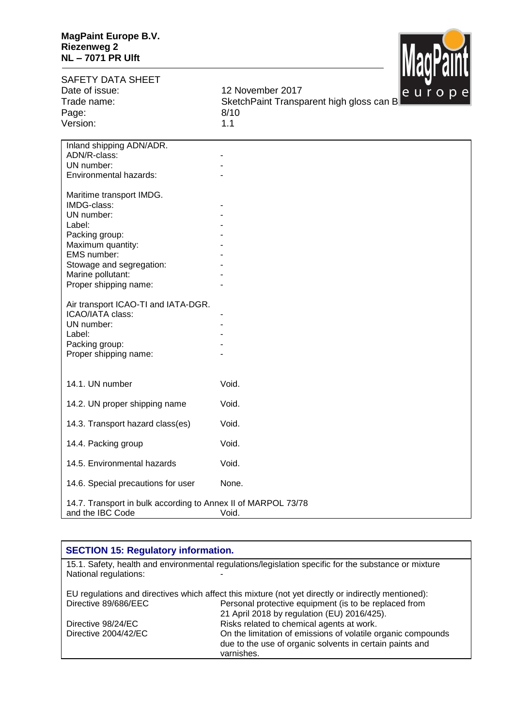

| <b>SAFETY DATA SHEET</b>                                      |                                          |
|---------------------------------------------------------------|------------------------------------------|
| Date of issue:                                                | 12 November 2017<br>europe               |
| Trade name:                                                   | SketchPaint Transparent high gloss can B |
| Page:                                                         | 8/10                                     |
| Version:                                                      | 1.1                                      |
|                                                               |                                          |
| Inland shipping ADN/ADR.                                      |                                          |
| ADN/R-class:                                                  |                                          |
| UN number:                                                    |                                          |
| Environmental hazards:                                        |                                          |
| Maritime transport IMDG.                                      |                                          |
| IMDG-class:                                                   |                                          |
| UN number:                                                    |                                          |
| Label:                                                        |                                          |
| Packing group:                                                |                                          |
| Maximum quantity:                                             |                                          |
| EMS number:                                                   |                                          |
| Stowage and segregation:                                      |                                          |
| Marine pollutant:                                             |                                          |
| Proper shipping name:                                         |                                          |
|                                                               |                                          |
| Air transport ICAO-TI and IATA-DGR.<br>ICAO/IATA class:       |                                          |
| UN number:                                                    |                                          |
| Label:                                                        |                                          |
| Packing group:                                                |                                          |
| Proper shipping name:                                         |                                          |
|                                                               |                                          |
|                                                               |                                          |
| 14.1. UN number                                               | Void.                                    |
| 14.2. UN proper shipping name                                 | Void.                                    |
|                                                               |                                          |
| 14.3. Transport hazard class(es)                              | Void.                                    |
|                                                               |                                          |
| 14.4. Packing group                                           | Void.                                    |
| 14.5. Environmental hazards                                   | Void.                                    |
|                                                               |                                          |
| 14.6. Special precautions for user                            | None.                                    |
| 14.7. Transport in bulk according to Annex II of MARPOL 73/78 |                                          |
| and the IBC Code                                              | Void.                                    |
|                                                               |                                          |

| <b>SECTION 15: Regulatory information.</b>                                                                                    |                                                                                                                          |
|-------------------------------------------------------------------------------------------------------------------------------|--------------------------------------------------------------------------------------------------------------------------|
| 15.1. Safety, health and environmental regulations/legislation specific for the substance or mixture<br>National regulations: |                                                                                                                          |
| EU regulations and directives which affect this mixture (not yet directly or indirectly mentioned):                           |                                                                                                                          |
| Directive 89/686/EEC                                                                                                          | Personal protective equipment (is to be replaced from<br>21 April 2018 by regulation (EU) 2016/425).                     |
| Directive 98/24/EC                                                                                                            | Risks related to chemical agents at work.                                                                                |
| Directive 2004/42/EC                                                                                                          | On the limitation of emissions of volatile organic compounds<br>due to the use of organic solvents in certain paints and |
|                                                                                                                               | varnishes.                                                                                                               |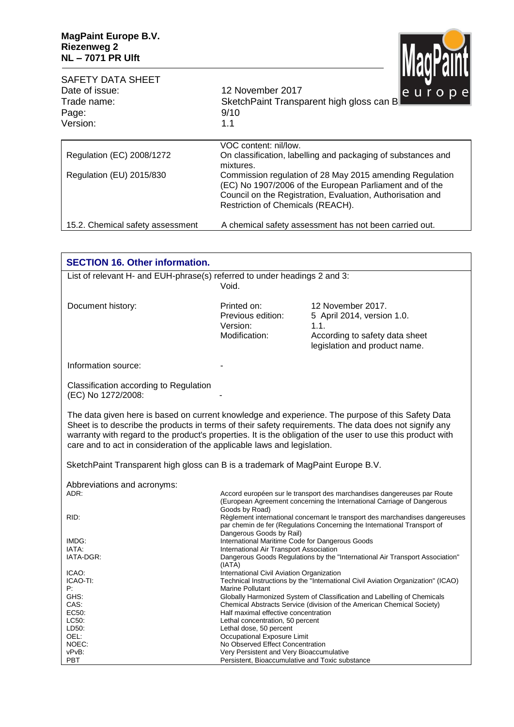

| <b>SAFETY DATA SHEET</b><br>Date of issue:<br>Trade name:<br>Page:<br>Version: | <b>TINA I MITT</b><br>12 November 2017<br>europe<br>SketchPaint Transparent high gloss can B<br>9/10<br>1.1                                                                                                            |
|--------------------------------------------------------------------------------|------------------------------------------------------------------------------------------------------------------------------------------------------------------------------------------------------------------------|
| Regulation (EC) 2008/1272                                                      | VOC content: nil/low.<br>On classification, labelling and packaging of substances and<br>mixtures.                                                                                                                     |
| Regulation (EU) 2015/830                                                       | Commission regulation of 28 May 2015 amending Regulation<br>(EC) No 1907/2006 of the European Parliament and of the<br>Council on the Registration, Evaluation, Authorisation and<br>Restriction of Chemicals (REACH). |
| 15.2. Chemical safety assessment                                               | A chemical safety assessment has not been carried out.                                                                                                                                                                 |

| <b>SECTION 16. Other information.</b>                                                                                                                                                                                                                                                                                                                                                                  |                                                                                                                         |                                                                                                                                                          |
|--------------------------------------------------------------------------------------------------------------------------------------------------------------------------------------------------------------------------------------------------------------------------------------------------------------------------------------------------------------------------------------------------------|-------------------------------------------------------------------------------------------------------------------------|----------------------------------------------------------------------------------------------------------------------------------------------------------|
| List of relevant H- and EUH-phrase(s) referred to under headings 2 and 3:                                                                                                                                                                                                                                                                                                                              |                                                                                                                         |                                                                                                                                                          |
|                                                                                                                                                                                                                                                                                                                                                                                                        | Void.                                                                                                                   |                                                                                                                                                          |
| Document history:                                                                                                                                                                                                                                                                                                                                                                                      | Printed on:<br>Previous edition:<br>Version:<br>Modification:                                                           | 12 November 2017.<br>5 April 2014, version 1.0.<br>1.1.<br>According to safety data sheet<br>legislation and product name.                               |
| Information source:                                                                                                                                                                                                                                                                                                                                                                                    |                                                                                                                         |                                                                                                                                                          |
| Classification according to Regulation<br>(EC) No 1272/2008:                                                                                                                                                                                                                                                                                                                                           |                                                                                                                         |                                                                                                                                                          |
| The data given here is based on current knowledge and experience. The purpose of this Safety Data<br>Sheet is to describe the products in terms of their safety requirements. The data does not signify any<br>warranty with regard to the product's properties. It is the obligation of the user to use this product with<br>care and to act in consideration of the applicable laws and legislation. |                                                                                                                         |                                                                                                                                                          |
| SketchPaint Transparent high gloss can B is a trademark of MagPaint Europe B.V.                                                                                                                                                                                                                                                                                                                        |                                                                                                                         |                                                                                                                                                          |
| Abbreviations and acronyms:<br>ADR:                                                                                                                                                                                                                                                                                                                                                                    |                                                                                                                         | Accord européen sur le transport des marchandises dangereuses par Route                                                                                  |
|                                                                                                                                                                                                                                                                                                                                                                                                        |                                                                                                                         | (European Agreement concerning the International Carriage of Dangerous                                                                                   |
| RID:                                                                                                                                                                                                                                                                                                                                                                                                   | Goods by Road)<br>Dangerous Goods by Rail)                                                                              | Règlement international concernant le transport des marchandises dangereuses<br>par chemin de fer (Regulations Concerning the International Transport of |
| IMDG:                                                                                                                                                                                                                                                                                                                                                                                                  | International Maritime Code for Dangerous Goods                                                                         |                                                                                                                                                          |
| IATA:<br>IATA-DGR:                                                                                                                                                                                                                                                                                                                                                                                     | International Air Transport Association<br>Dangerous Goods Regulations by the "International Air Transport Association" |                                                                                                                                                          |
|                                                                                                                                                                                                                                                                                                                                                                                                        | (IATA)                                                                                                                  |                                                                                                                                                          |
| ICAO:                                                                                                                                                                                                                                                                                                                                                                                                  | International Civil Aviation Organization                                                                               |                                                                                                                                                          |
| ICAO-TI:<br>P:                                                                                                                                                                                                                                                                                                                                                                                         | <b>Marine Pollutant</b>                                                                                                 | Technical Instructions by the "International Civil Aviation Organization" (ICAO)                                                                         |
| GHS:                                                                                                                                                                                                                                                                                                                                                                                                   |                                                                                                                         | Globally Harmonized System of Classification and Labelling of Chemicals                                                                                  |
| CAS:                                                                                                                                                                                                                                                                                                                                                                                                   |                                                                                                                         | Chemical Abstracts Service (division of the American Chemical Society)                                                                                   |
| EC <sub>50</sub> :                                                                                                                                                                                                                                                                                                                                                                                     | Half maximal effective concentration                                                                                    |                                                                                                                                                          |
| LC50:                                                                                                                                                                                                                                                                                                                                                                                                  | Lethal concentration, 50 percent                                                                                        |                                                                                                                                                          |
| LD50:                                                                                                                                                                                                                                                                                                                                                                                                  | Lethal dose, 50 percent                                                                                                 |                                                                                                                                                          |
| OEL:                                                                                                                                                                                                                                                                                                                                                                                                   | Occupational Exposure Limit                                                                                             |                                                                                                                                                          |
| NOEC:                                                                                                                                                                                                                                                                                                                                                                                                  | No Observed Effect Concentration                                                                                        |                                                                                                                                                          |
| vPvB:<br><b>PBT</b>                                                                                                                                                                                                                                                                                                                                                                                    | Very Persistent and Very Bioaccumulative<br>Persistent, Bioaccumulative and Toxic substance                             |                                                                                                                                                          |
|                                                                                                                                                                                                                                                                                                                                                                                                        |                                                                                                                         |                                                                                                                                                          |